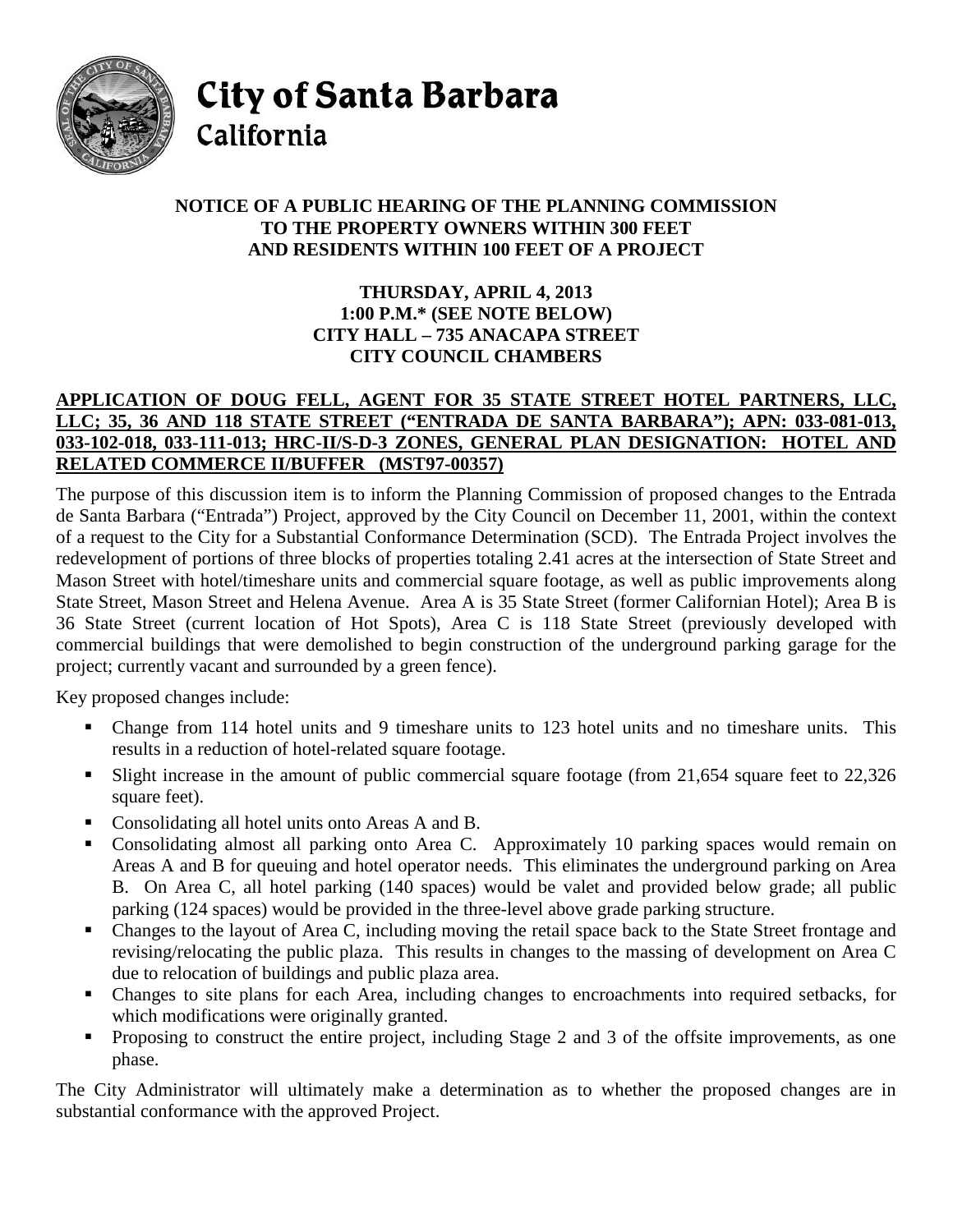

City of Santa Barbara California

## **NOTICE OF A PUBLIC HEARING OF THE PLANNING COMMISSION TO THE PROPERTY OWNERS WITHIN 300 FEET AND RESIDENTS WITHIN 100 FEET OF A PROJECT**

## **THURSDAY, APRIL 4, 2013 1:00 P.M.\* (SEE NOTE BELOW) CITY HALL – 735 ANACAPA STREET CITY COUNCIL CHAMBERS**

## **APPLICATION OF DOUG FELL, AGENT FOR 35 STATE STREET HOTEL PARTNERS, LLC, LLC; 35, 36 AND 118 STATE STREET ("ENTRADA DE SANTA BARBARA"); APN: 033-081-013, 033-102-018, 033-111-013; HRC-II/S-D-3 ZONES, GENERAL PLAN DESIGNATION: HOTEL AND RELATED COMMERCE II/BUFFER (MST97-00357)**

The purpose of this discussion item is to inform the Planning Commission of proposed changes to the Entrada de Santa Barbara ("Entrada") Project, approved by the City Council on December 11, 2001, within the context of a request to the City for a Substantial Conformance Determination (SCD). The Entrada Project involves the redevelopment of portions of three blocks of properties totaling 2.41 acres at the intersection of State Street and Mason Street with hotel/timeshare units and commercial square footage, as well as public improvements along State Street, Mason Street and Helena Avenue. Area A is 35 State Street (former Californian Hotel); Area B is 36 State Street (current location of Hot Spots), Area C is 118 State Street (previously developed with commercial buildings that were demolished to begin construction of the underground parking garage for the project; currently vacant and surrounded by a green fence).

Key proposed changes include:

- Change from 114 hotel units and 9 timeshare units to 123 hotel units and no timeshare units. This results in a reduction of hotel-related square footage.
- Slight increase in the amount of public commercial square footage (from 21,654 square feet to 22,326 square feet).
- Consolidating all hotel units onto Areas A and B.
- Consolidating almost all parking onto Area C. Approximately 10 parking spaces would remain on Areas A and B for queuing and hotel operator needs. This eliminates the underground parking on Area B. On Area C, all hotel parking (140 spaces) would be valet and provided below grade; all public parking (124 spaces) would be provided in the three-level above grade parking structure.
- Changes to the layout of Area C, including moving the retail space back to the State Street frontage and revising/relocating the public plaza. This results in changes to the massing of development on Area C due to relocation of buildings and public plaza area.
- Changes to site plans for each Area, including changes to encroachments into required setbacks, for which modifications were originally granted.
- **Proposing to construct the entire project, including Stage 2 and 3 of the offsite improvements, as one** phase.

The City Administrator will ultimately make a determination as to whether the proposed changes are in substantial conformance with the approved Project.